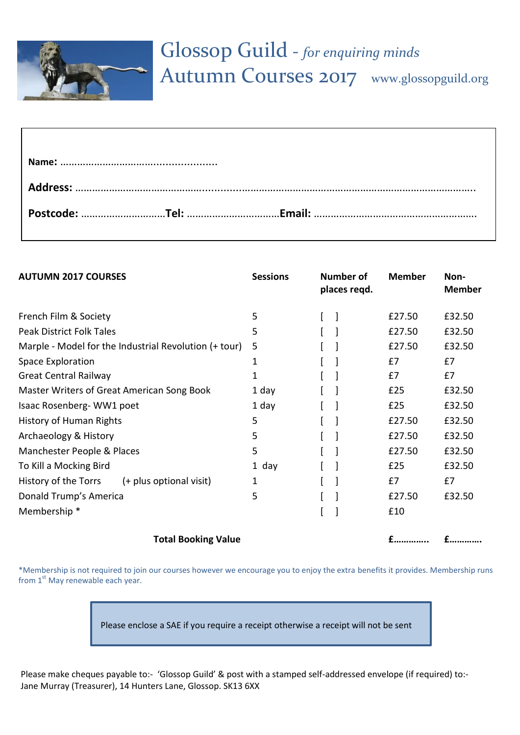

| <b>AUTUMN 2017 COURSES</b>                 |                                                       | <b>Sessions</b> | <b>Number of</b><br>places regd. | <b>Member</b> | Non-<br><b>Member</b> |
|--------------------------------------------|-------------------------------------------------------|-----------------|----------------------------------|---------------|-----------------------|
| French Film & Society                      |                                                       | 5               |                                  | £27.50        | £32.50                |
| <b>Peak District Folk Tales</b>            |                                                       | 5               |                                  | £27.50        | £32.50                |
|                                            | Marple - Model for the Industrial Revolution (+ tour) | 5               |                                  | £27.50        | £32.50                |
| Space Exploration                          |                                                       | 1               |                                  | £7            | £7                    |
| <b>Great Central Railway</b>               |                                                       | 1               |                                  | £7            | E7                    |
| Master Writers of Great American Song Book |                                                       | 1 day           |                                  | £25           | £32.50                |
| Isaac Rosenberg-WW1 poet                   |                                                       | 1 day           |                                  | £25           | £32.50                |
| <b>History of Human Rights</b>             |                                                       | 5               |                                  | £27.50        | £32.50                |
| Archaeology & History                      |                                                       | 5               |                                  | £27.50        | £32.50                |
| Manchester People & Places                 |                                                       | 5               |                                  | £27.50        | £32.50                |
| To Kill a Mocking Bird                     |                                                       | 1 day           |                                  | £25           | £32.50                |
| History of the Torrs                       | (+ plus optional visit)                               | 1               |                                  | £7            | £7                    |
| Donald Trump's America                     |                                                       | 5               |                                  | £27.50        | £32.50                |
| Membership *                               |                                                       |                 |                                  | £10           |                       |
| <b>Total Booking Value</b>                 |                                                       |                 |                                  | $f$           | £                     |

\*Membership is not required to join our courses however we encourage you to enjoy the extra benefits it provides. Membership runs from  $1<sup>st</sup>$  May renewable each year.

Please enclose a SAE if you require a receipt otherwise a receipt will not be sent

Please make cheques payable to:- 'Glossop Guild' & post with a stamped self-addressed envelope (if required) to:-Jane Murray (Treasurer), 14 Hunters Lane, Glossop. SK13 6XX